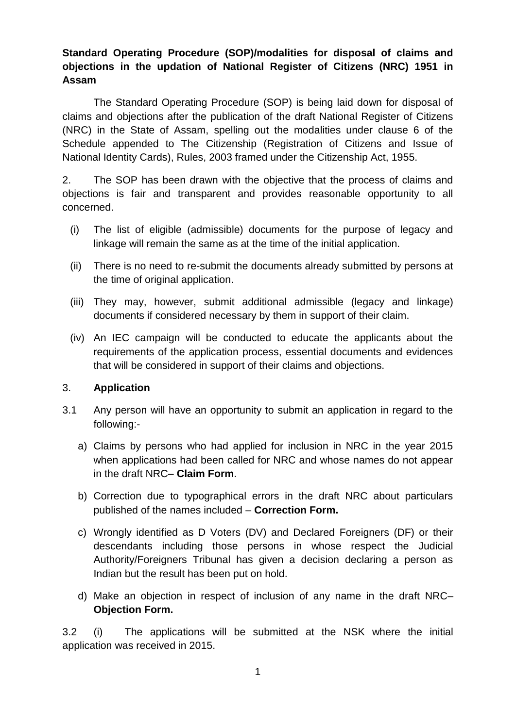# **Standard Operating Procedure (SOP)/modalities for disposal of claims and objections in the updation of National Register of Citizens (NRC) 1951 in Assam**

The Standard Operating Procedure (SOP) is being laid down for disposal of claims and objections after the publication of the draft National Register of Citizens (NRC) in the State of Assam, spelling out the modalities under clause 6 of the Schedule appended to The Citizenship (Registration of Citizens and Issue of National Identity Cards), Rules, 2003 framed under the Citizenship Act, 1955.

2. The SOP has been drawn with the objective that the process of claims and objections is fair and transparent and provides reasonable opportunity to all concerned.

- (i) The list of eligible (admissible) documents for the purpose of legacy and linkage will remain the same as at the time of the initial application.
- (ii) There is no need to re-submit the documents already submitted by persons at the time of original application.
- (iii) They may, however, submit additional admissible (legacy and linkage) documents if considered necessary by them in support of their claim.
- (iv) An IEC campaign will be conducted to educate the applicants about the requirements of the application process, essential documents and evidences that will be considered in support of their claims and objections.

### 3. **Application**

- 3.1 Any person will have an opportunity to submit an application in regard to the following:
	- a) Claims by persons who had applied for inclusion in NRC in the year 2015 when applications had been called for NRC and whose names do not appear in the draft NRC– **Claim Form**.
	- b) Correction due to typographical errors in the draft NRC about particulars published of the names included – **Correction Form.**
	- c) Wrongly identified as D Voters (DV) and Declared Foreigners (DF) or their descendants including those persons in whose respect the Judicial Authority/Foreigners Tribunal has given a decision declaring a person as Indian but the result has been put on hold.
	- d) Make an objection in respect of inclusion of any name in the draft NRC– **Objection Form.**

3.2 (i) The applications will be submitted at the NSK where the initial application was received in 2015.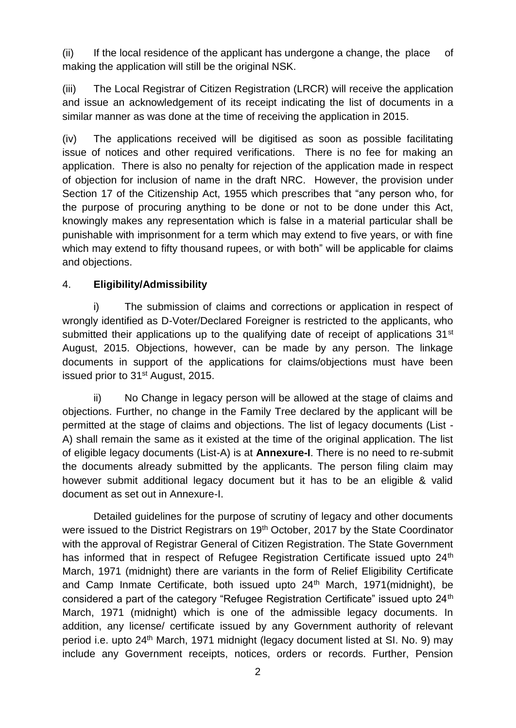(ii) If the local residence of the applicant has undergone a change, the place of making the application will still be the original NSK.

(iii) The Local Registrar of Citizen Registration (LRCR) will receive the application and issue an acknowledgement of its receipt indicating the list of documents in a similar manner as was done at the time of receiving the application in 2015.

(iv) The applications received will be digitised as soon as possible facilitating issue of notices and other required verifications. There is no fee for making an application. There is also no penalty for rejection of the application made in respect of objection for inclusion of name in the draft NRC. However, the provision under Section 17 of the Citizenship Act, 1955 which prescribes that "any person who, for the purpose of procuring anything to be done or not to be done under this Act, knowingly makes any representation which is false in a material particular shall be punishable with imprisonment for a term which may extend to five years, or with fine which may extend to fifty thousand rupees, or with both" will be applicable for claims and objections.

# 4. **Eligibility/Admissibility**

i) The submission of claims and corrections or application in respect of wrongly identified as D-Voter/Declared Foreigner is restricted to the applicants, who submitted their applications up to the qualifying date of receipt of applications 31<sup>st</sup> August, 2015. Objections, however, can be made by any person. The linkage documents in support of the applications for claims/objections must have been issued prior to 31<sup>st</sup> August, 2015.

ii) No Change in legacy person will be allowed at the stage of claims and objections. Further, no change in the Family Tree declared by the applicant will be permitted at the stage of claims and objections. The list of legacy documents (List - A) shall remain the same as it existed at the time of the original application. The list of eligible legacy documents (List-A) is at **Annexure-I**. There is no need to re-submit the documents already submitted by the applicants. The person filing claim may however submit additional legacy document but it has to be an eligible & valid document as set out in Annexure-I.

Detailed guidelines for the purpose of scrutiny of legacy and other documents were issued to the District Registrars on 19<sup>th</sup> October, 2017 by the State Coordinator with the approval of Registrar General of Citizen Registration. The State Government has informed that in respect of Refugee Registration Certificate issued upto 24<sup>th</sup> March, 1971 (midnight) there are variants in the form of Relief Eligibility Certificate and Camp Inmate Certificate, both issued upto 24<sup>th</sup> March, 1971(midnight), be considered a part of the category "Refugee Registration Certificate" issued upto 24<sup>th</sup> March, 1971 (midnight) which is one of the admissible legacy documents. In addition, any license/ certificate issued by any Government authority of relevant period i.e. upto 24<sup>th</sup> March, 1971 midnight (legacy document listed at SI. No. 9) may include any Government receipts, notices, orders or records. Further, Pension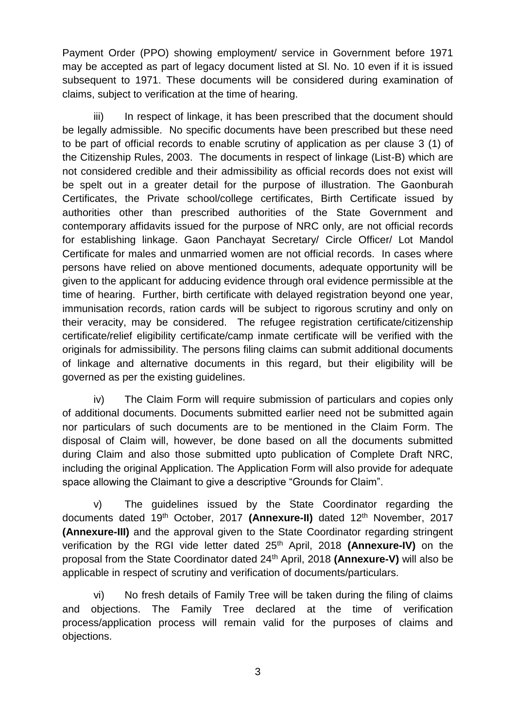Payment Order (PPO) showing employment/ service in Government before 1971 may be accepted as part of legacy document listed at Sl. No. 10 even if it is issued subsequent to 1971. These documents will be considered during examination of claims, subject to verification at the time of hearing.

iii) In respect of linkage, it has been prescribed that the document should be legally admissible. No specific documents have been prescribed but these need to be part of official records to enable scrutiny of application as per clause 3 (1) of the Citizenship Rules, 2003. The documents in respect of linkage (List-B) which are not considered credible and their admissibility as official records does not exist will be spelt out in a greater detail for the purpose of illustration. The Gaonburah Certificates, the Private school/college certificates, Birth Certificate issued by authorities other than prescribed authorities of the State Government and contemporary affidavits issued for the purpose of NRC only, are not official records for establishing linkage. Gaon Panchayat Secretary/ Circle Officer/ Lot Mandol Certificate for males and unmarried women are not official records. In cases where persons have relied on above mentioned documents, adequate opportunity will be given to the applicant for adducing evidence through oral evidence permissible at the time of hearing. Further, birth certificate with delayed registration beyond one year, immunisation records, ration cards will be subject to rigorous scrutiny and only on their veracity, may be considered. The refugee registration certificate/citizenship certificate/relief eligibility certificate/camp inmate certificate will be verified with the originals for admissibility. The persons filing claims can submit additional documents of linkage and alternative documents in this regard, but their eligibility will be governed as per the existing guidelines.

iv) The Claim Form will require submission of particulars and copies only of additional documents. Documents submitted earlier need not be submitted again nor particulars of such documents are to be mentioned in the Claim Form. The disposal of Claim will, however, be done based on all the documents submitted during Claim and also those submitted upto publication of Complete Draft NRC, including the original Application. The Application Form will also provide for adequate space allowing the Claimant to give a descriptive "Grounds for Claim".

v) The guidelines issued by the State Coordinator regarding the documents dated 19th October, 2017 **(Annexure-II)** dated 12th November, 2017 **(Annexure-III)** and the approval given to the State Coordinator regarding stringent verification by the RGI vide letter dated 25th April, 2018 **(Annexure-IV)** on the proposal from the State Coordinator dated 24th April, 2018 **(Annexure-V)** will also be applicable in respect of scrutiny and verification of documents/particulars.

vi) No fresh details of Family Tree will be taken during the filing of claims and objections. The Family Tree declared at the time of verification process/application process will remain valid for the purposes of claims and objections.

3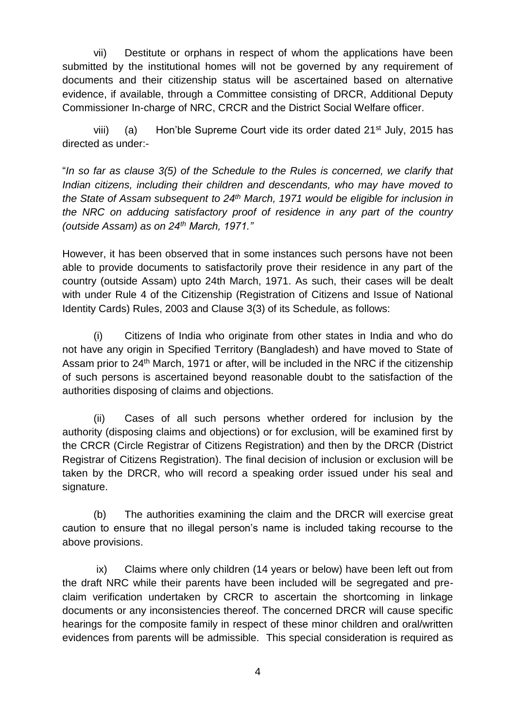vii) Destitute or orphans in respect of whom the applications have been submitted by the institutional homes will not be governed by any requirement of documents and their citizenship status will be ascertained based on alternative evidence, if available, through a Committee consisting of DRCR, Additional Deputy Commissioner In-charge of NRC, CRCR and the District Social Welfare officer.

viii) (a) Hon'ble Supreme Court vide its order dated 21<sup>st</sup> July, 2015 has directed as under:-

"*In so far as clause 3(5) of the Schedule to the Rules is concerned, we clarify that Indian citizens, including their children and descendants, who may have moved to the State of Assam subsequent to 24th March, 1971 would be eligible for inclusion in the NRC on adducing satisfactory proof of residence in any part of the country (outside Assam) as on 24th March, 1971."*

However, it has been observed that in some instances such persons have not been able to provide documents to satisfactorily prove their residence in any part of the country (outside Assam) upto 24th March, 1971. As such, their cases will be dealt with under Rule 4 of the Citizenship (Registration of Citizens and Issue of National Identity Cards) Rules, 2003 and Clause 3(3) of its Schedule, as follows:

(i) Citizens of India who originate from other states in India and who do not have any origin in Specified Territory (Bangladesh) and have moved to State of Assam prior to 24<sup>th</sup> March, 1971 or after, will be included in the NRC if the citizenship of such persons is ascertained beyond reasonable doubt to the satisfaction of the authorities disposing of claims and objections.

(ii) Cases of all such persons whether ordered for inclusion by the authority (disposing claims and objections) or for exclusion, will be examined first by the CRCR (Circle Registrar of Citizens Registration) and then by the DRCR (District Registrar of Citizens Registration). The final decision of inclusion or exclusion will be taken by the DRCR, who will record a speaking order issued under his seal and signature.

(b) The authorities examining the claim and the DRCR will exercise great caution to ensure that no illegal person's name is included taking recourse to the above provisions.

ix) Claims where only children (14 years or below) have been left out from the draft NRC while their parents have been included will be segregated and preclaim verification undertaken by CRCR to ascertain the shortcoming in linkage documents or any inconsistencies thereof. The concerned DRCR will cause specific hearings for the composite family in respect of these minor children and oral/written evidences from parents will be admissible. This special consideration is required as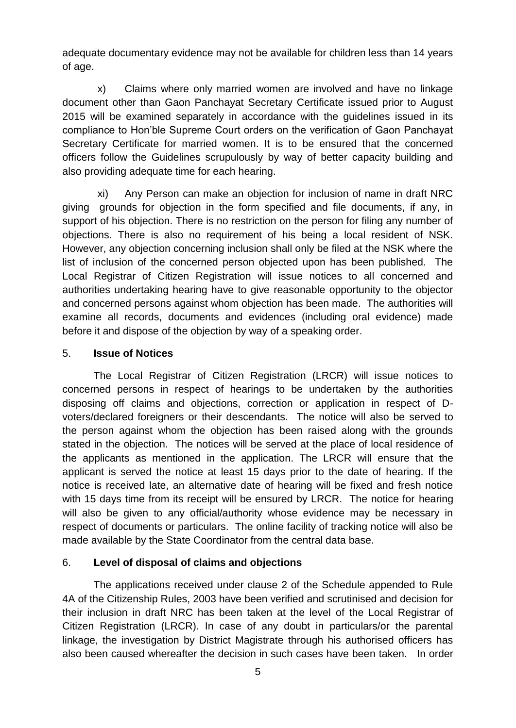adequate documentary evidence may not be available for children less than 14 years of age.

x) Claims where only married women are involved and have no linkage document other than Gaon Panchayat Secretary Certificate issued prior to August 2015 will be examined separately in accordance with the guidelines issued in its compliance to Hon'ble Supreme Court orders on the verification of Gaon Panchayat Secretary Certificate for married women. It is to be ensured that the concerned officers follow the Guidelines scrupulously by way of better capacity building and also providing adequate time for each hearing.

xi) Any Person can make an objection for inclusion of name in draft NRC giving grounds for objection in the form specified and file documents, if any, in support of his objection. There is no restriction on the person for filing any number of objections. There is also no requirement of his being a local resident of NSK. However, any objection concerning inclusion shall only be filed at the NSK where the list of inclusion of the concerned person objected upon has been published. The Local Registrar of Citizen Registration will issue notices to all concerned and authorities undertaking hearing have to give reasonable opportunity to the objector and concerned persons against whom objection has been made. The authorities will examine all records, documents and evidences (including oral evidence) made before it and dispose of the objection by way of a speaking order.

#### 5. **Issue of Notices**

The Local Registrar of Citizen Registration (LRCR) will issue notices to concerned persons in respect of hearings to be undertaken by the authorities disposing off claims and objections, correction or application in respect of Dvoters/declared foreigners or their descendants. The notice will also be served to the person against whom the objection has been raised along with the grounds stated in the objection. The notices will be served at the place of local residence of the applicants as mentioned in the application. The LRCR will ensure that the applicant is served the notice at least 15 days prior to the date of hearing. If the notice is received late, an alternative date of hearing will be fixed and fresh notice with 15 days time from its receipt will be ensured by LRCR. The notice for hearing will also be given to any official/authority whose evidence may be necessary in respect of documents or particulars. The online facility of tracking notice will also be made available by the State Coordinator from the central data base.

#### 6. **Level of disposal of claims and objections**

The applications received under clause 2 of the Schedule appended to Rule 4A of the Citizenship Rules, 2003 have been verified and scrutinised and decision for their inclusion in draft NRC has been taken at the level of the Local Registrar of Citizen Registration (LRCR). In case of any doubt in particulars/or the parental linkage, the investigation by District Magistrate through his authorised officers has also been caused whereafter the decision in such cases have been taken. In order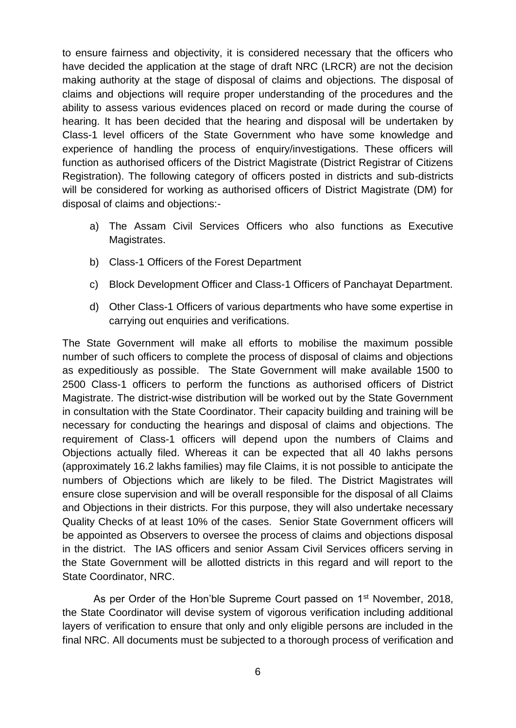to ensure fairness and objectivity, it is considered necessary that the officers who have decided the application at the stage of draft NRC (LRCR) are not the decision making authority at the stage of disposal of claims and objections. The disposal of claims and objections will require proper understanding of the procedures and the ability to assess various evidences placed on record or made during the course of hearing. It has been decided that the hearing and disposal will be undertaken by Class-1 level officers of the State Government who have some knowledge and experience of handling the process of enquiry/investigations. These officers will function as authorised officers of the District Magistrate (District Registrar of Citizens Registration). The following category of officers posted in districts and sub-districts will be considered for working as authorised officers of District Magistrate (DM) for disposal of claims and objections:-

- a) The Assam Civil Services Officers who also functions as Executive Magistrates.
- b) Class-1 Officers of the Forest Department
- c) Block Development Officer and Class-1 Officers of Panchayat Department.
- d) Other Class-1 Officers of various departments who have some expertise in carrying out enquiries and verifications.

The State Government will make all efforts to mobilise the maximum possible number of such officers to complete the process of disposal of claims and objections as expeditiously as possible. The State Government will make available 1500 to 2500 Class-1 officers to perform the functions as authorised officers of District Magistrate. The district-wise distribution will be worked out by the State Government in consultation with the State Coordinator. Their capacity building and training will be necessary for conducting the hearings and disposal of claims and objections. The requirement of Class-1 officers will depend upon the numbers of Claims and Objections actually filed. Whereas it can be expected that all 40 lakhs persons (approximately 16.2 lakhs families) may file Claims, it is not possible to anticipate the numbers of Objections which are likely to be filed. The District Magistrates will ensure close supervision and will be overall responsible for the disposal of all Claims and Objections in their districts. For this purpose, they will also undertake necessary Quality Checks of at least 10% of the cases. Senior State Government officers will be appointed as Observers to oversee the process of claims and objections disposal in the district. The IAS officers and senior Assam Civil Services officers serving in the State Government will be allotted districts in this regard and will report to the State Coordinator, NRC.

As per Order of the Hon'ble Supreme Court passed on 1<sup>st</sup> November, 2018, the State Coordinator will devise system of vigorous verification including additional layers of verification to ensure that only and only eligible persons are included in the final NRC. All documents must be subjected to a thorough process of verification and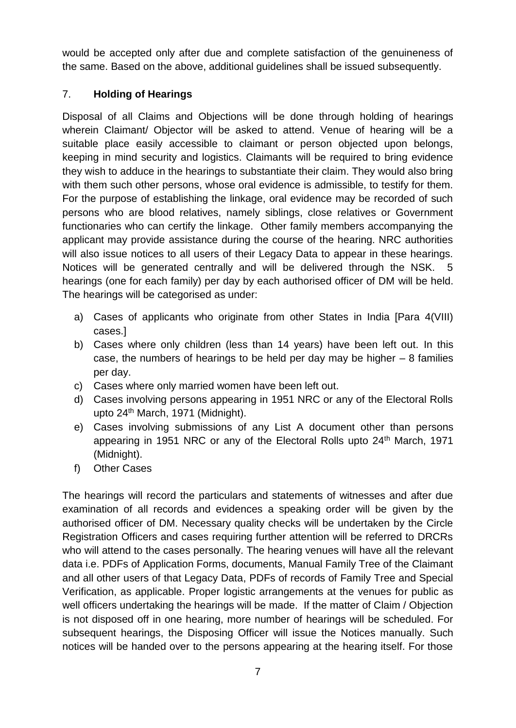would be accepted only after due and complete satisfaction of the genuineness of the same. Based on the above, additional guidelines shall be issued subsequently.

# 7. **Holding of Hearings**

Disposal of all Claims and Objections will be done through holding of hearings wherein Claimant/ Objector will be asked to attend. Venue of hearing will be a suitable place easily accessible to claimant or person objected upon belongs, keeping in mind security and logistics. Claimants will be required to bring evidence they wish to adduce in the hearings to substantiate their claim. They would also bring with them such other persons, whose oral evidence is admissible, to testify for them. For the purpose of establishing the linkage, oral evidence may be recorded of such persons who are blood relatives, namely siblings, close relatives or Government functionaries who can certify the linkage. Other family members accompanying the applicant may provide assistance during the course of the hearing. NRC authorities will also issue notices to all users of their Legacy Data to appear in these hearings. Notices will be generated centrally and will be delivered through the NSK. 5 hearings (one for each family) per day by each authorised officer of DM will be held. The hearings will be categorised as under:

- a) Cases of applicants who originate from other States in India [Para 4(VIII) cases.]
- b) Cases where only children (less than 14 years) have been left out. In this case, the numbers of hearings to be held per day may be higher – 8 families per day.
- c) Cases where only married women have been left out.
- d) Cases involving persons appearing in 1951 NRC or any of the Electoral Rolls upto 24<sup>th</sup> March, 1971 (Midnight).
- e) Cases involving submissions of any List A document other than persons appearing in 1951 NRC or any of the Electoral Rolls upto 24<sup>th</sup> March, 1971 (Midnight).
- f) Other Cases

The hearings will record the particulars and statements of witnesses and after due examination of all records and evidences a speaking order will be given by the authorised officer of DM. Necessary quality checks will be undertaken by the Circle Registration Officers and cases requiring further attention will be referred to DRCRs who will attend to the cases personally. The hearing venues will have all the relevant data i.e. PDFs of Application Forms, documents, Manual Family Tree of the Claimant and all other users of that Legacy Data, PDFs of records of Family Tree and Special Verification, as applicable. Proper logistic arrangements at the venues for public as well officers undertaking the hearings will be made. If the matter of Claim / Objection is not disposed off in one hearing, more number of hearings will be scheduled. For subsequent hearings, the Disposing Officer will issue the Notices manually. Such notices will be handed over to the persons appearing at the hearing itself. For those